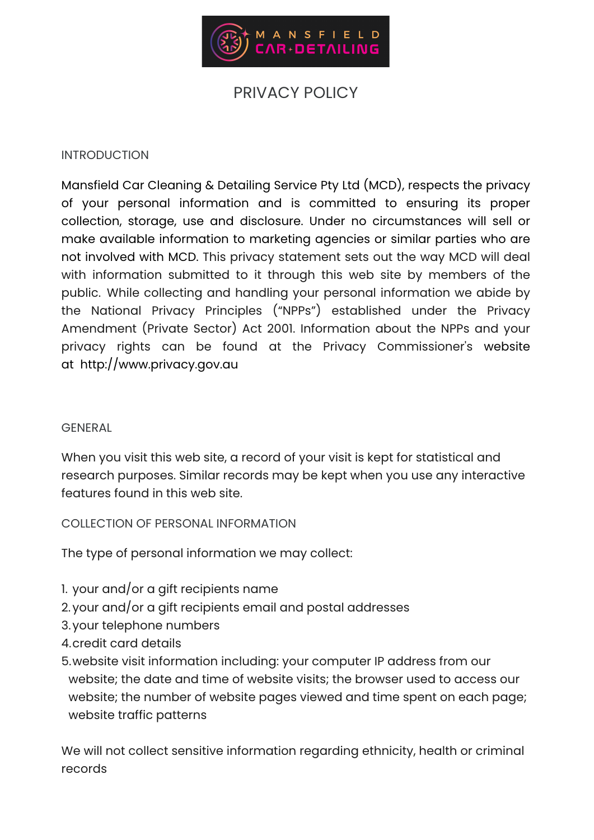

# PRIVACY POLICY

# **INTRODUCTION**

Mansfield Car Cleaning & Detailing Service Pty Ltd (MCD), respects the privacy of your personal information and is committed to ensuring its proper collection, storage, use and disclosure. Under no circumstances will sell or make available information to marketing agencies or similar parties who are not involved with MCD. This privacy statement sets out the way MCD will deal with information submitted to it through this web site by members of the public. While collecting and handling your personal information we abide by the National Privacy Principles ("NPPs") established under the Privacy Amendment (Private Sector) Act 2001. Information about the NPPs and your privacy rights can be found at the Privacy Commissioner's website at http://www.privacy.gov.au

# GENERAL

When you visit this web site, a record of your visit is kept for statistical and research purposes. Similar records may be kept when you use any interactive features found in this web site.

COLLECTION OF PERSONAL INFORMATION

The type of personal information we may collect:

- 1. your and/or a gift recipients name
- 2.your and/or a gift recipients email and postal addresses
- 3.your telephone numbers
- 4.credit card details
- 5.website visit information including: your computer IP address from our website; the date and time of website visits; the browser used to access our website; the number of website pages viewed and time spent on each page; website traffic patterns

We will not collect sensitive information regarding ethnicity, health or criminal records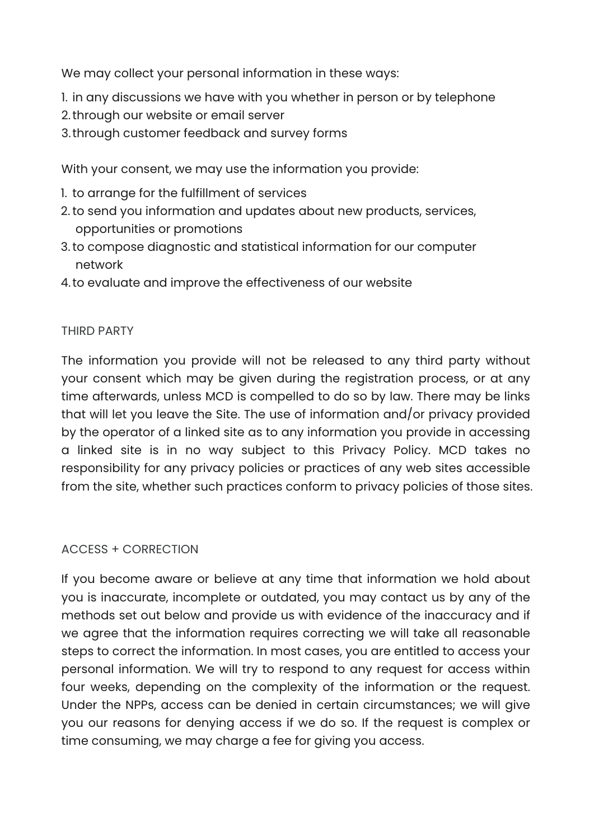We may collect your personal information in these ways:

- 1. in any discussions we have with you whether in person or by telephone
- 2.through our website or email server
- 3.through customer feedback and survey forms

With your consent, we may use the information you provide:

- 1. to arrange for the fulfillment of services
- 2.to send you information and updates about new products, services, opportunities or promotions
- 3.to compose diagnostic and statistical information for our computer network
- 4.to evaluate and improve the effectiveness of our website

# THIRD PARTY

The information you provide will not be released to any third party without your consent which may be given during the registration process, or at any time afterwards, unless MCD is compelled to do so by law. There may be links that will let you leave the Site. The use of information and/or privacy provided by the operator of a linked site as to any information you provide in accessing a linked site is in no way subject to this Privacy Policy. MCD takes no responsibility for any privacy policies or practices of any web sites accessible from the site, whether such practices conform to privacy policies of those sites.

# ACCESS + CORRECTION

If you become aware or believe at any time that information we hold about you is inaccurate, incomplete or outdated, you may contact us by any of the methods set out below and provide us with evidence of the inaccuracy and if we agree that the information requires correcting we will take all reasonable steps to correct the information. In most cases, you are entitled to access your personal information. We will try to respond to any request for access within four weeks, depending on the complexity of the information or the request. Under the NPPs, access can be denied in certain circumstances; we will give you our reasons for denying access if we do so. If the request is complex or time consuming, we may charge a fee for giving you access.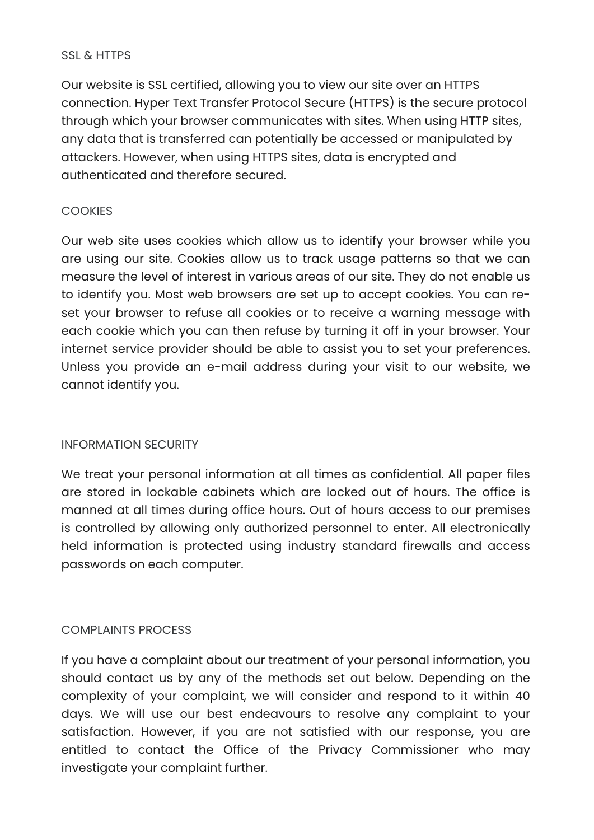# SSL & HTTPS

Our website is SSL certified, allowing you to view our site over an HTTPS connection. Hyper Text Transfer Protocol Secure (HTTPS) is the secure protocol through which your browser communicates with sites. When using HTTP sites, any data that is transferred can potentially be accessed or manipulated by attackers. However, when using HTTPS sites, data is encrypted and authenticated and therefore secured.

# **COOKIES**

Our web site uses cookies which allow us to identify your browser while you are using our site. Cookies allow us to track usage patterns so that we can measure the level of interest in various areas of our site. They do not enable us to identify you. Most web browsers are set up to accept cookies. You can reset your browser to refuse all cookies or to receive a warning message with each cookie which you can then refuse by turning it off in your browser. Your internet service provider should be able to assist you to set your preferences. Unless you provide an e-mail address during your visit to our website, we cannot identify you.

# INFORMATION SECURITY

We treat your personal information at all times as confidential. All paper files are stored in lockable cabinets which are locked out of hours. The office is manned at all times during office hours. Out of hours access to our premises is controlled by allowing only authorized personnel to enter. All electronically held information is protected using industry standard firewalls and access passwords on each computer.

# COMPLAINTS PROCESS

If you have a complaint about our treatment of your personal information, you should contact us by any of the methods set out below. Depending on the complexity of your complaint, we will consider and respond to it within 40 days. We will use our best endeavours to resolve any complaint to your satisfaction. However, if you are not satisfied with our response, you are entitled to contact the Office of the Privacy Commissioner who may investigate your complaint further.